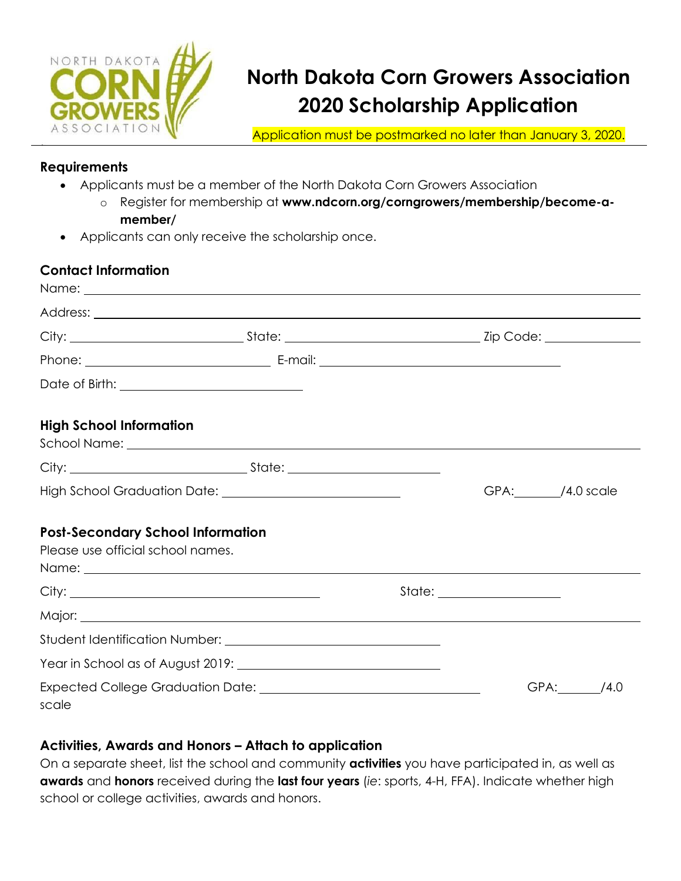

# **North Dakota Corn Growers Association 2020 Scholarship Application**

Application must be postmarked no later than January 3, 2020.

#### **Requirements**

- Applicants must be a member of the North Dakota Corn Growers Association
	- o Register for membership at **www.ndcorn.org/corngrowers/membership/become-amember/**
- Applicants can only receive the scholarship once.

### **Contact Information**

| Name: 2008. 2008. 2010. 2010. 2010. 2010. 2010. 2010. 2010. 2010. 2010. 2010. 2010. 2010. 2010. 2010. 2010. 20                                                                                                                                                                                                 |  |                 |
|----------------------------------------------------------------------------------------------------------------------------------------------------------------------------------------------------------------------------------------------------------------------------------------------------------------|--|-----------------|
|                                                                                                                                                                                                                                                                                                                |  |                 |
|                                                                                                                                                                                                                                                                                                                |  |                 |
|                                                                                                                                                                                                                                                                                                                |  |                 |
|                                                                                                                                                                                                                                                                                                                |  |                 |
| <b>High School Information</b><br>School Name: <u>New York: Andrew York: New York: New York: New York: New York: New York: New York: New York: New York: New York: New York: New York: New York: New York: New York: New York: New York: New York: New York: New Y</u>                                         |  |                 |
|                                                                                                                                                                                                                                                                                                                |  |                 |
|                                                                                                                                                                                                                                                                                                                |  | GPA: /4.0 scale |
| <b>Post-Secondary School Information</b><br>Please use official school names.<br>Name: Name and the second contract of the second contract of the second contract of the second contract of the second contract of the second contract of the second contract of the second contract of the second contract of |  |                 |
|                                                                                                                                                                                                                                                                                                                |  |                 |
|                                                                                                                                                                                                                                                                                                                |  |                 |
|                                                                                                                                                                                                                                                                                                                |  |                 |
|                                                                                                                                                                                                                                                                                                                |  |                 |
| scale                                                                                                                                                                                                                                                                                                          |  | GPA: /4.0       |

#### **Activities, Awards and Honors – Attach to application**

On a separate sheet, list the school and community **activities** you have participated in, as well as **awards** and **honors** received during the **last four years** (*ie*: sports, 4-H, FFA). Indicate whether high school or college activities, awards and honors.